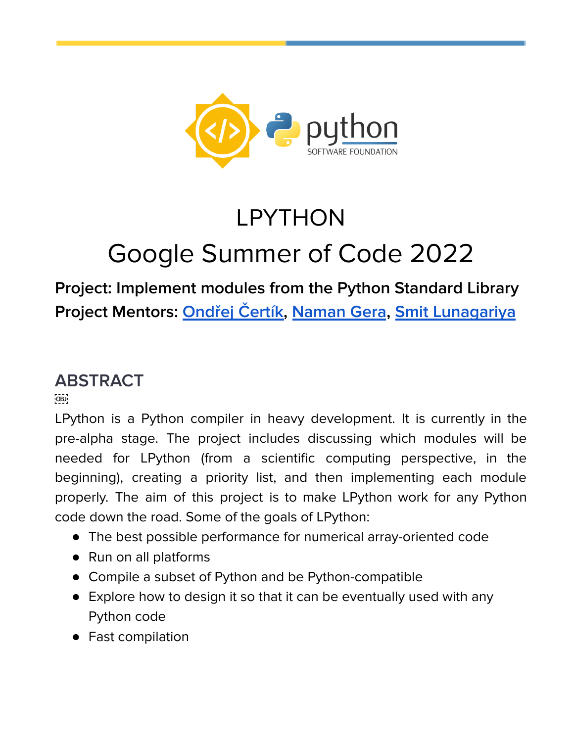

# LPYTHON Google Summer of Code 2022

## **Project: Implement modules from the Python Standard Library Project Mentors: [Ondřej](https://github.com/certik) Čertík, [Naman](https://github.com/namannimmo10) Gera, Smit [Lunagariya](https://github.com/Smit-create)**

## **ABSTRACT**

 $[OB]$ 

LPython is a Python compiler in heavy development. It is currently in the pre-alpha stage. The project includes discussing which modules will be needed for LPython (from a scientific computing perspective, in the beginning), creating a priority list, and then implementing each module properly. The aim of this project is to make LPython work for any Python code down the road. Some of the goals of LPython:

- The best possible performance for numerical array-oriented code
- Run on all platforms
- Compile a subset of Python and be Python-compatible
- Explore how to design it so that it can be eventually used with any Python code
- Fast compilation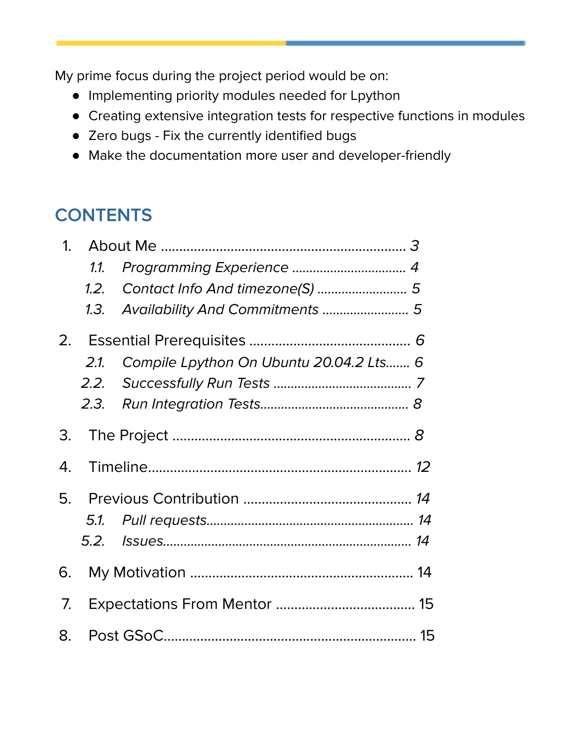My prime focus during the project period would be on:

- Implementing priority modules needed for Lpython
- Creating extensive integration tests for respective functions in modules
- Zero bugs Fix the currently identified bugs
- Make the documentation more user and developer-friendly

# **CONTENTS**

| 1 <sup>1</sup> |      |                                         |
|----------------|------|-----------------------------------------|
|                | 1.1. |                                         |
|                | 1.2. |                                         |
|                | 1.3. | Availability And Commitments  5         |
|                |      |                                         |
|                | 2.1  | Compile Lpython On Ubuntu 20.04.2 Lts 6 |
|                | 2.2. |                                         |
|                | 2.3. |                                         |
| 3.             |      |                                         |
| 4.             |      |                                         |
|                |      |                                         |
|                | 5.1. |                                         |
|                |      |                                         |
| 6.             |      |                                         |
| 7.             |      |                                         |
| 8.             |      |                                         |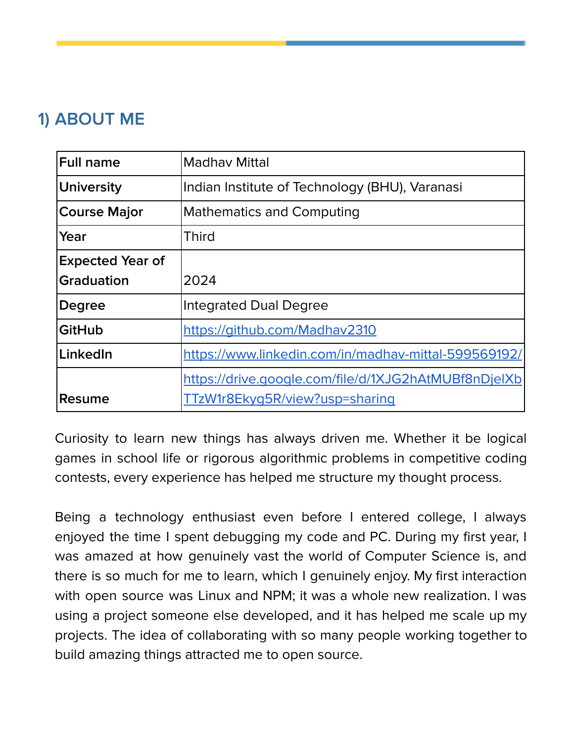## <span id="page-2-0"></span>**1) ABOUT ME**

| <b>Full name</b>        | Madhay Mittal                                                                          |
|-------------------------|----------------------------------------------------------------------------------------|
| <b>University</b>       | Indian Institute of Technology (BHU), Varanasi                                         |
| <b>Course Major</b>     | <b>Mathematics and Computing</b>                                                       |
| Year                    | <b>Third</b>                                                                           |
| <b>Expected Year of</b> |                                                                                        |
| <b>Graduation</b>       | 2024                                                                                   |
| <b>Degree</b>           | <b>Integrated Dual Degree</b>                                                          |
| <b>GitHub</b>           | https://github.com/Madhav2310                                                          |
| LinkedIn                | https://www.linkedin.com/in/madhav-mittal-599569192/                                   |
| Resume                  | https://drive.google.com/file/d/1XJG2hAtMUBf8nDjelXb<br>TTzW1r8Ekyg5R/view?usp=sharing |
|                         |                                                                                        |

Curiosity to learn new things has always driven me. Whether it be logical games in school life or rigorous algorithmic problems in competitive coding contests, every experience has helped me structure my thought process.

Being a technology enthusiast even before I entered college, I always enjoyed the time I spent debugging my code and PC. During my first year, I was amazed at how genuinely vast the world of Computer Science is, and there is so much for me to learn, which I genuinely enjoy. My first interaction with open source was Linux and NPM; it was a whole new realization. I was using a project someone else developed, and it has helped me scale up my projects. The idea of collaborating with so many people working together to build amazing things attracted me to open source.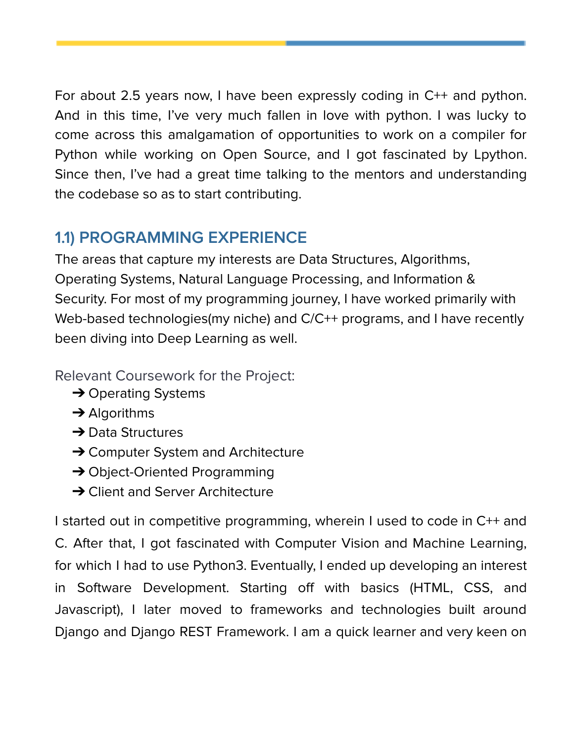For about 2.5 years now, I have been expressly coding in C++ and python. And in this time, I've very much fallen in love with python. I was lucky to come across this amalgamation of opportunities to work on a compiler for Python while working on Open Source, and I got fascinated by Lpython. Since then, I've had a great time talking to the mentors and understanding the codebase so as to start contributing.

#### <span id="page-3-0"></span>**1.1) PROGRAMMING EXPERIENCE**

The areas that capture my interests are Data Structures, Algorithms, Operating Systems, Natural Language Processing, and Information & Security. For most of my programming journey, I have worked primarily with Web-based technologies(my niche) and C/C++ programs, and I have recently been diving into Deep Learning as well.

Relevant Coursework for the Project:

- **→ Operating Systems**
- **→ Algorithms**
- **→ Data Structures**
- **→ Computer System and Architecture**
- **→ Object-Oriented Programming**
- **→ Client and Server Architecture**

I started out in competitive programming, wherein I used to code in C++ and C. After that, I got fascinated with Computer Vision and Machine Learning, for which I had to use Python3. Eventually, I ended up developing an interest in Software Development. Starting off with basics (HTML, CSS, and Javascript), I later moved to frameworks and technologies built around Django and Django REST Framework. I am a quick learner and very keen on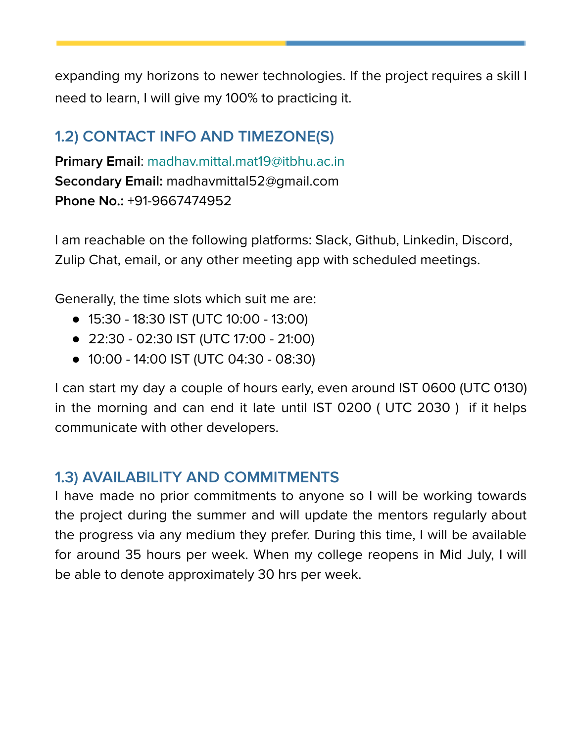expanding my horizons to newer technologies. If the project requires a skill I need to learn, I will give my 100% to practicing it.

#### <span id="page-4-0"></span>**1.2) CONTACT INFO AND TIMEZONE(S)**

**Primary Email**: madhav.mittal.mat19@itbhu.ac.in **Secondary Email:** madhavmittal52@gmail.com **Phone No.:** +91-9667474952

I am reachable on the following platforms: Slack, Github, Linkedin, Discord, Zulip Chat, email, or any other meeting app with scheduled meetings.

Generally, the time slots which suit me are:

- 15:30 18:30 IST (UTC 10:00 13:00)
- 22:30 02:30 IST (UTC 17:00 21:00)
- 10:00 14:00 IST (UTC 04:30 08:30)

I can start my day a couple of hours early, even around IST 0600 (UTC 0130) in the morning and can end it late until IST 0200 ( UTC 2030 ) if it helps communicate with other developers.

#### <span id="page-4-1"></span>**1.3) AVAILABILITY AND COMMITMENTS**

I have made no prior commitments to anyone so I will be working towards the project during the summer and will update the mentors regularly about the progress via any medium they prefer. During this time, I will be available for around 35 hours per week. When my college reopens in Mid July, I will be able to denote approximately 30 hrs per week.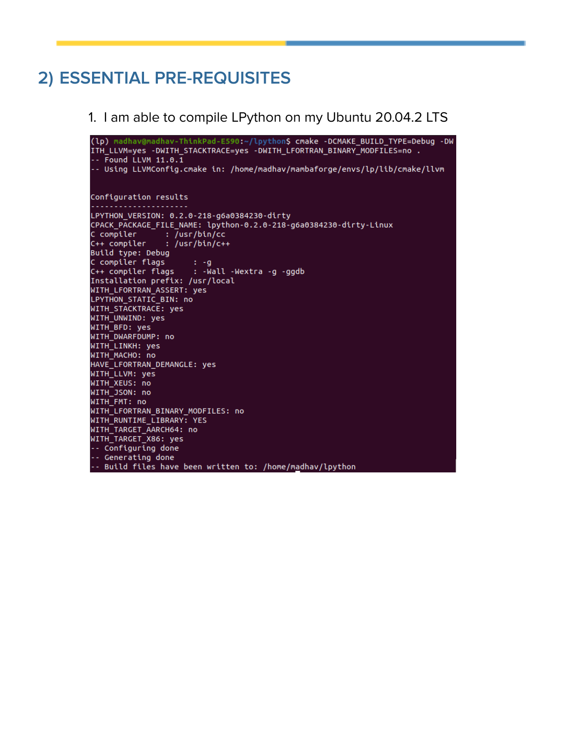#### <span id="page-5-0"></span>**2) ESSENTIAL PRE-REQUISITES**

1. I am able to compile LPython on my Ubuntu 20.04.2 LTS

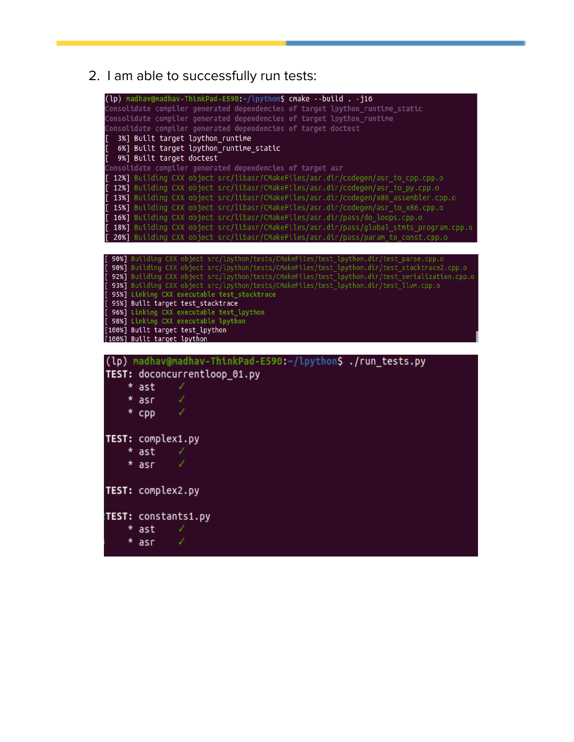2. I am able to successfully run tests:

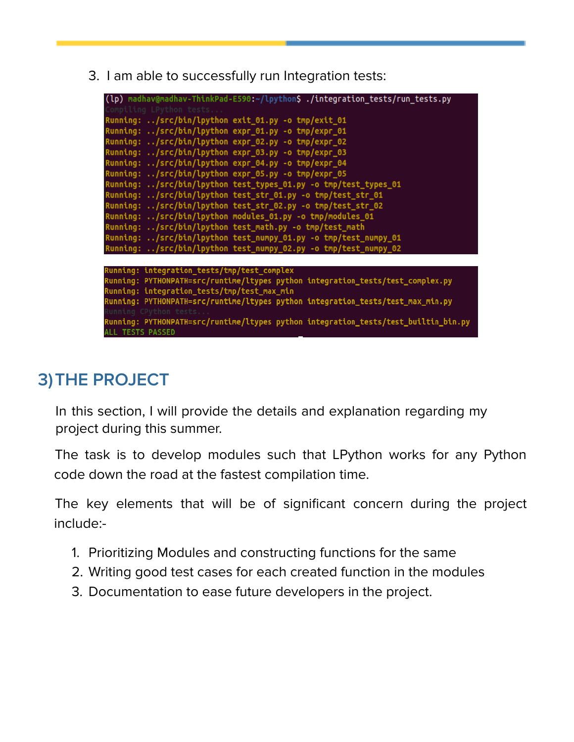3. I am able to successfully run Integration tests:

| (lp) madhav@madhav-ThinkPad-E590:~/lpython\$ ./integration_tests/run_tests.py       |
|-------------------------------------------------------------------------------------|
| Compiling LPython tests                                                             |
| Running: /src/bin/lpython exit_01.py -o tmp/exit_01                                 |
| Running: /src/bin/lpython expr_01.py -o tmp/expr_01                                 |
| Running: /src/bin/lpython expr_02.py -o tmp/expr_02                                 |
| Running: /src/bin/lpython expr_03.py -o tmp/expr_03                                 |
| Running: /src/bin/lpython expr_04.py -o tmp/expr_04                                 |
| Running: /src/bin/lpython expr_05.py -o tmp/expr_05                                 |
| Running: /src/bin/lpython test_types_01.py -o tmp/test_types_01                     |
| Running: /src/bin/lpython test_str_01.py -o tmp/test_str_01                         |
| Running: /src/bin/lpython test_str_02.py -o tmp/test_str_02                         |
| Running: /src/bin/lpython modules_01.py -o tmp/modules_01                           |
| Running: /src/bin/lpython test_math.py -o tmp/test_math                             |
| Running: /src/bin/lpython test_numpy_01.py -o tmp/test_numpy_01                     |
| Running: /src/bin/lpython test_numpy_02.py -o tmp/test_numpy_02                     |
|                                                                                     |
| Running: integration_tests/tmp/test_complex                                         |
| Running: PYTHONPATH=src/runtime/ltypes python integration_tests/test_complex.py     |
| Running: integration_tests/tmp/test_max_min                                         |
| Running: PYTHONPATH=src/runtime/ltypes python integration_tests/test_max_min.py     |
| Running CPython tests                                                               |
| Running: PYTHONPATH=src/runtime/ltypes python integration_tests/test_builtin_bin.py |
| <b>ALL TESTS PASSED</b>                                                             |

## <span id="page-7-0"></span>**3)THE PROJECT**

In this section, I will provide the details and explanation regarding my project during this summer.

The task is to develop modules such that LPython works for any Python code down the road at the fastest compilation time.

The key elements that will be of significant concern during the project include:-

- 1. Prioritizing Modules and constructing functions for the same
- 2. Writing good test cases for each created function in the modules
- 3. Documentation to ease future developers in the project.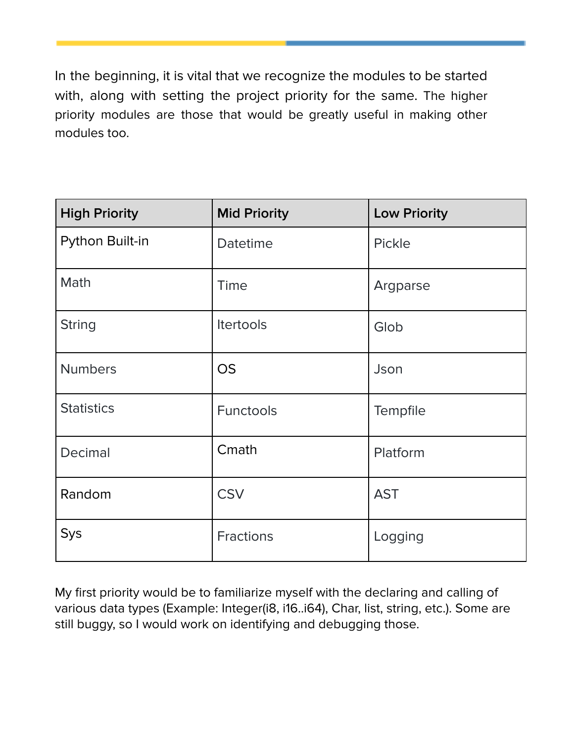In the beginning, it is vital that we recognize the modules to be started with, along with setting the project priority for the same. The higher priority modules are those that would be greatly useful in making other modules too.

| <b>High Priority</b> | <b>Mid Priority</b> | <b>Low Priority</b> |
|----------------------|---------------------|---------------------|
| Python Built-in      | Datetime            | Pickle              |
| Math                 | Time                | Argparse            |
| <b>String</b>        | Itertools           | Glob                |
| <b>Numbers</b>       | <b>OS</b>           | Json                |
| <b>Statistics</b>    | <b>Functools</b>    | Tempfile            |
| Decimal              | Cmath               | Platform            |
| Random               | <b>CSV</b>          | <b>AST</b>          |
| Sys                  | <b>Fractions</b>    | Logging             |

My first priority would be to familiarize myself with the declaring and calling of various data types (Example: Integer(i8, i16..i64), Char, list, string, etc.). Some are still buggy, so I would work on identifying and debugging those.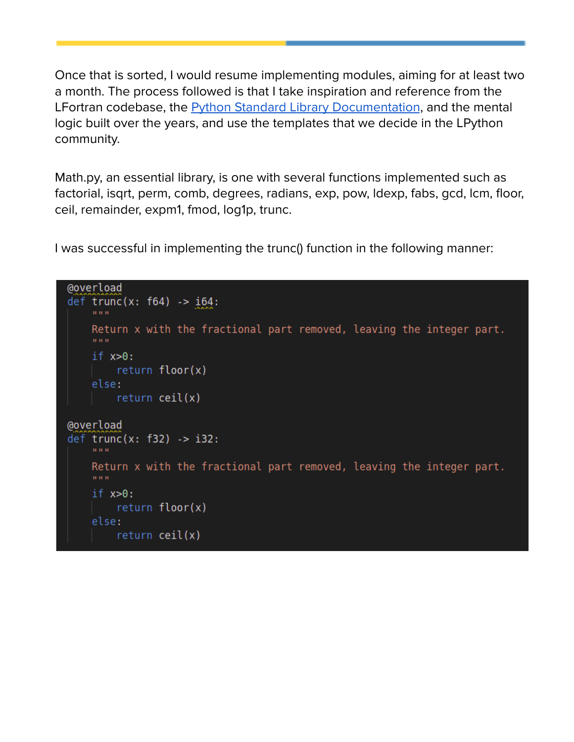Once that is sorted, I would resume implementing modules, aiming for at least two a month. The process followed is that I take inspiration and reference from the LFortran codebase, the **Python Standard Library [Documentation](https://docs.python.org/3/library/index.html)**, and the mental logic built over the years, and use the templates that we decide in the LPython community.

Math.py, an essential library, is one with several functions implemented such as factorial, isqrt, perm, comb, degrees, radians, exp, pow, ldexp, fabs, gcd, lcm, floor, ceil, remainder, expm1, fmod, log1p, trunc.

I was successful in implementing the trunc() function in the following manner:

```
@overload
def trunc(x: f64) -> i64:
    man in
    Return x with the fractional part removed, leaving the integer part.
    in in in-
    if x>0:
        return floor(x)else:
        return ceil(x)@overload
def trunc(x: f32) -> i32:
    minim.
    Return x with the fractional part removed, leaving the integer part.
    if x>0:
        return floor(x)else:
        return ceil(x)
```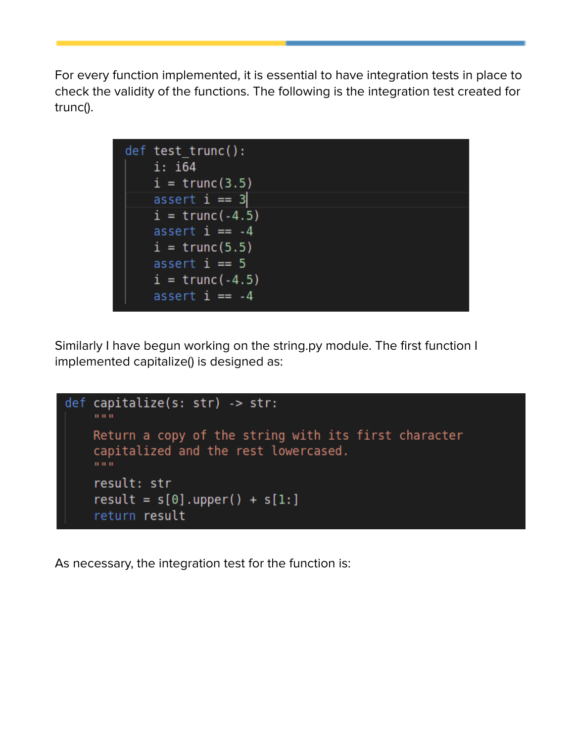For every function implemented, it is essential to have integration tests in place to check the validity of the functions. The following is the integration test created for trunc().



Similarly I have begun working on the string.py module. The first function I implemented capitalize() is designed as:



As necessary, the integration test for the function is: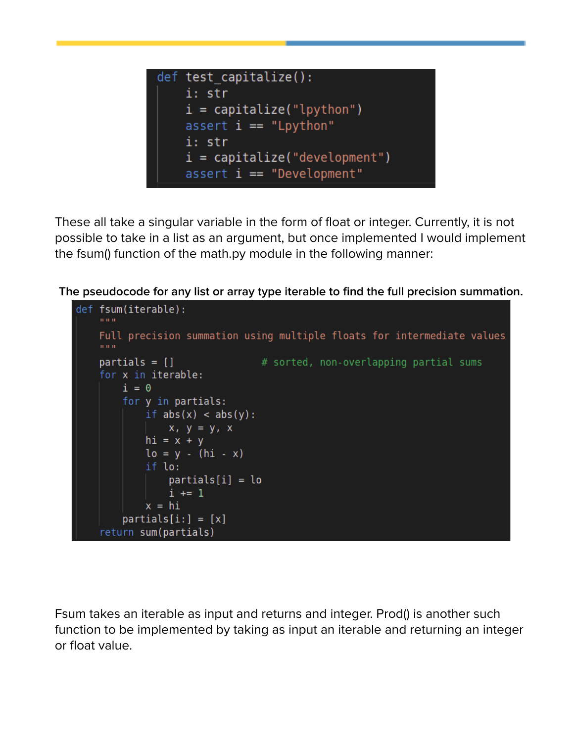

These all take a singular variable in the form of float or integer. Currently, it is not possible to take in a list as an argument, but once implemented I would implement the fsum() function of the math.py module in the following manner:

**The pseudocode for any list or array type iterable to find the full precision summation.**



Fsum takes an iterable as input and returns and integer. Prod() is another such function to be implemented by taking as input an iterable and returning an integer or float value.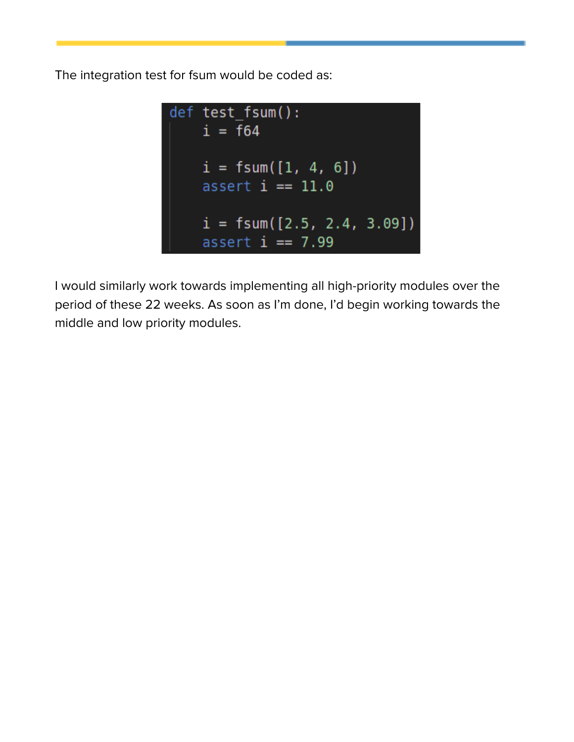The integration test for fsum would be coded as:



I would similarly work towards implementing all high-priority modules over the period of these 22 weeks. As soon as I'm done, I'd begin working towards the middle and low priority modules.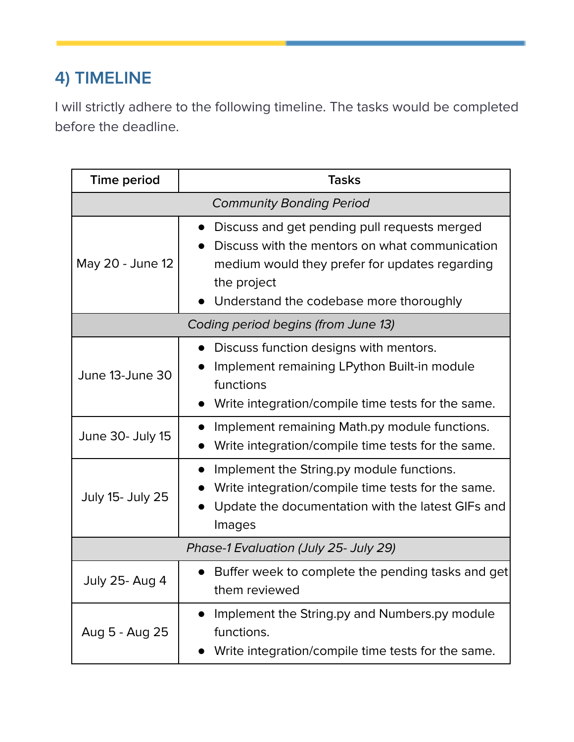## <span id="page-13-0"></span>**4) TIMELINE**

I will strictly adhere to the following timeline. The tasks would be completed before the deadline.

| <b>Time period</b>                    | <b>Tasks</b>                                                                                                                                                                                               |  |  |  |
|---------------------------------------|------------------------------------------------------------------------------------------------------------------------------------------------------------------------------------------------------------|--|--|--|
| <b>Community Bonding Period</b>       |                                                                                                                                                                                                            |  |  |  |
| May 20 - June 12                      | Discuss and get pending pull requests merged<br>Discuss with the mentors on what communication<br>medium would they prefer for updates regarding<br>the project<br>Understand the codebase more thoroughly |  |  |  |
| Coding period begins (from June 13)   |                                                                                                                                                                                                            |  |  |  |
| June 13-June 30                       | Discuss function designs with mentors.<br>Implement remaining LPython Built-in module<br>functions<br>Write integration/compile time tests for the same.                                                   |  |  |  |
| June 30- July 15                      | Implement remaining Math.py module functions.<br>Write integration/compile time tests for the same.                                                                                                        |  |  |  |
| <b>July 15- July 25</b>               | Implement the String.py module functions.<br>Write integration/compile time tests for the same.<br>Update the documentation with the latest GIFs and<br>Images                                             |  |  |  |
| Phase-1 Evaluation (July 25- July 29) |                                                                                                                                                                                                            |  |  |  |
| <b>July 25- Aug 4</b>                 | Buffer week to complete the pending tasks and get<br>them reviewed                                                                                                                                         |  |  |  |
| Aug 5 - Aug 25                        | Implement the String.py and Numbers.py module<br>functions.<br>Write integration/compile time tests for the same.                                                                                          |  |  |  |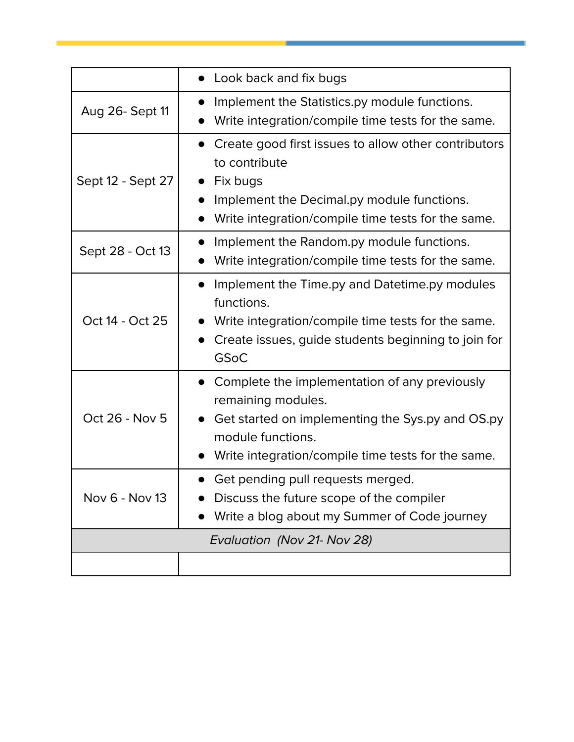|                   | Look back and fix bugs                                                                                                                                                                                          |
|-------------------|-----------------------------------------------------------------------------------------------------------------------------------------------------------------------------------------------------------------|
| Aug 26- Sept 11   | Implement the Statistics.py module functions.<br>Write integration/compile time tests for the same.                                                                                                             |
| Sept 12 - Sept 27 | Create good first issues to allow other contributors<br>to contribute<br>Fix bugs<br>Implement the Decimal.py module functions.<br>Write integration/compile time tests for the same.                           |
| Sept 28 - Oct 13  | Implement the Random.py module functions.<br>Write integration/compile time tests for the same.                                                                                                                 |
| Oct 14 - Oct 25   | Implement the Time.py and Datetime.py modules<br>$\bullet$<br>functions.<br>Write integration/compile time tests for the same.<br>Create issues, guide students beginning to join for<br><b>GSoC</b>            |
| Oct 26 - Nov 5    | Complete the implementation of any previously<br>$\bullet$<br>remaining modules.<br>Get started on implementing the Sys.py and OS.py<br>module functions.<br>Write integration/compile time tests for the same. |
| Nov 6 - Nov 13    | Get pending pull requests merged.<br>Discuss the future scope of the compiler<br>Write a blog about my Summer of Code journey                                                                                   |
|                   | Evaluation (Nov 21- Nov 28)                                                                                                                                                                                     |
|                   |                                                                                                                                                                                                                 |

the control of the control of the control of the control of the control of the control of the control of the control of the control of the control of the control of the control of the control of the control of the control

 $\mathcal{L}(\mathcal{L}(\mathcal{L}(\mathcal{L}(\mathcal{L}(\mathcal{L}(\mathcal{L}(\mathcal{L}(\mathcal{L}(\mathcal{L}(\mathcal{L}(\mathcal{L}(\mathcal{L}(\mathcal{L}(\mathcal{L}(\mathcal{L}(\mathcal{L}(\mathcal{L}(\mathcal{L}(\mathcal{L}(\mathcal{L}(\mathcal{L}(\mathcal{L}(\mathcal{L}(\mathcal{L}(\mathcal{L}(\mathcal{L}(\mathcal{L}(\mathcal{L}(\mathcal{L}(\mathcal{L}(\mathcal{L}(\mathcal{L}(\mathcal{L}(\mathcal{L}(\mathcal{L}(\mathcal{$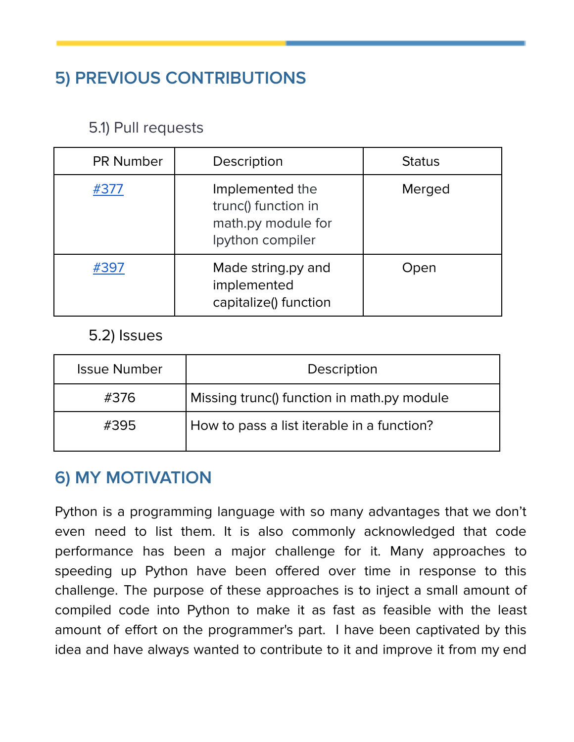## <span id="page-15-0"></span>**5) PREVIOUS CONTRIBUTIONS**

#### <span id="page-15-1"></span>5.1) Pull requests

| <b>PR Number</b> | Description                                                                      | <b>Status</b> |
|------------------|----------------------------------------------------------------------------------|---------------|
| #377             | Implemented the<br>trunc() function in<br>math.py module for<br>Ipython compiler | Merged        |
| #397             | Made string.py and<br>implemented<br>capitalize() function                       | Open          |

#### <span id="page-15-2"></span>5.2) Issues

| <b>Issue Number</b> | Description                                |
|---------------------|--------------------------------------------|
| #376                | Missing trunc() function in math.py module |
| #395                | How to pass a list iterable in a function? |

#### <span id="page-15-3"></span>**6) MY MOTIVATION**

Python is a programming language with so many advantages that we don't even need to list them. It is also commonly acknowledged that code performance has been a major challenge for it. Many approaches to speeding up Python have been offered over time in response to this challenge. The purpose of these approaches is to inject a small amount of compiled code into Python to make it as fast as feasible with the least amount of effort on the programmer's part. I have been captivated by this idea and have always wanted to contribute to it and improve it from my end